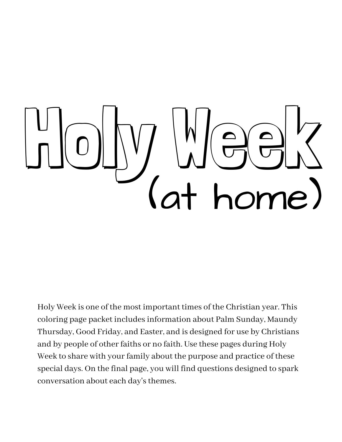# Holy Week (at home)

Holy Week is one of the most important times of the Christian year. This coloring page packet includesinformation about Palm Sunday, Maundy Thursday, Good Friday, and Easter, and is designed for use by Christians and by people of other faiths or no faith. Use these pages during Holy Week to share with your family about the purpose and practice of these special days. On the final page, you will find questions designed to spark conversation about each day's themes.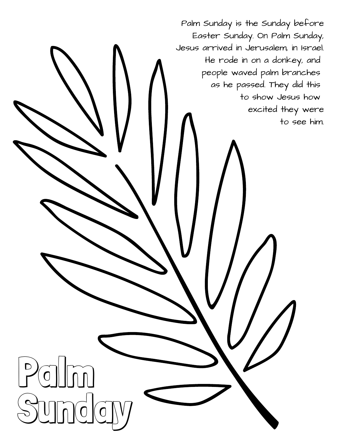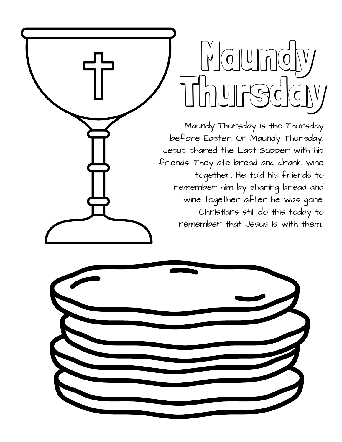Maund Thursda

Maundy Thursday is the Thursday before Easter. On Maundy Thursday, Jesus shared the Last Supper with his friends. They ate bread and drank wine together. He told his friends to remember him by sharing bread and wine together after he was gone. Christians still do this today to remember that Jesus is with them..

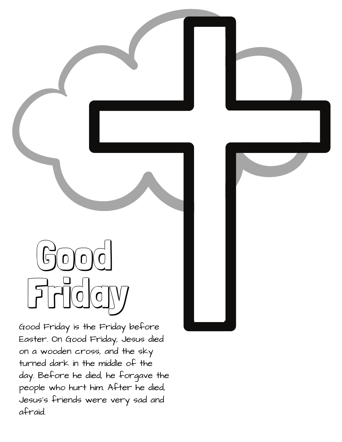## $\mathfrak{S}$ o $\mathfrak{g}$ o $\mathfrak{g}$ o Friday

Good Friday is the Friday before Easter. On Good Friday, Jesus died on a wooden cross, and the sky turned dark in the middle of the day. Before he died, he forgave the people who hurt him. After he died, Jesus's friends were very sad and afraid.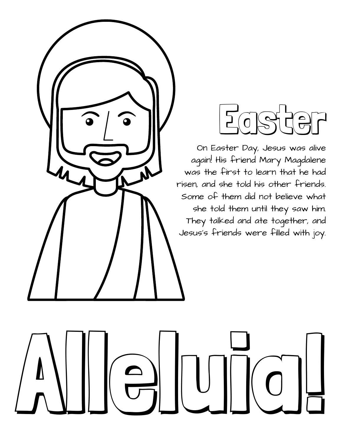

# Easter

On Easter Day, Jesus was alive again! His friend Mary Magdalene was the first to learn that he had risen, and she told his other friends. Some of them did not believe what she told them until they saw him. They talked and ate together, and Jesus's friends were filled with joy.